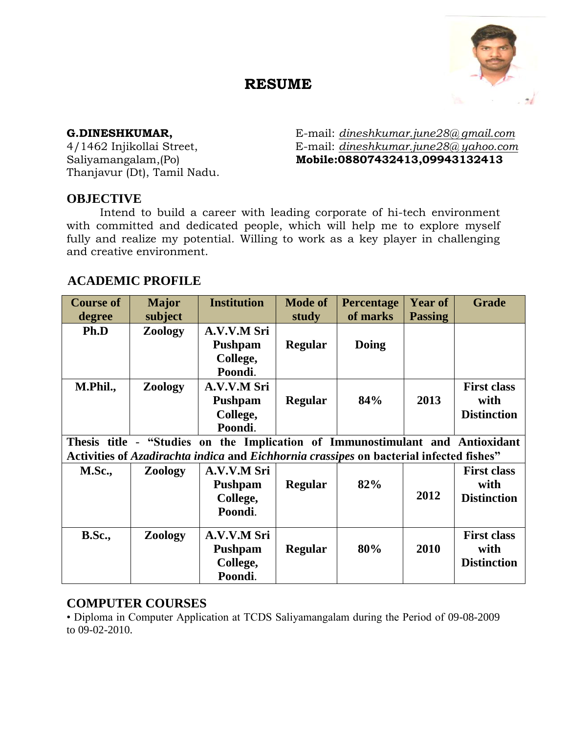# **RESUME**



Thanjavur (Dt), Tamil Nadu.

**G.DINESHKUMAR,** E-mail: *dineshkumar.june28@ gmail.com* 4/1462 Injikollai Street, E-mail: *dineshkumar.june28@ yahoo.com* Saliyamangalam,(Po) **Mobile:08807432413,09943132413**

## **OBJECTIVE**

Intend to build a career with leading corporate of hi-tech environment with committed and dedicated people, which will help me to explore myself fully and realize my potential. Willing to work as a key player in challenging and creative environment.

## **ACADEMIC PROFILE**

| <b>Course of</b>                                                                        | <b>Major</b>   | <b>Institution</b> | <b>Mode of</b> | <b>Percentage</b> | <b>Year of</b> | <b>Grade</b>       |
|-----------------------------------------------------------------------------------------|----------------|--------------------|----------------|-------------------|----------------|--------------------|
| degree                                                                                  | subject        |                    | study          | of marks          | <b>Passing</b> |                    |
| Ph.D                                                                                    | Zoology        | A.V.V.M Sri        |                |                   |                |                    |
|                                                                                         |                | Pushpam            | <b>Regular</b> | Doing             |                |                    |
|                                                                                         |                | College,           |                |                   |                |                    |
|                                                                                         |                | Poondi.            |                |                   |                |                    |
| M.Phil.,                                                                                | Zoology        | A.V.V.M Sri        |                |                   |                | <b>First class</b> |
|                                                                                         |                | Pushpam            | <b>Regular</b> | 84%               | 2013           | with               |
|                                                                                         |                | College,           |                |                   |                | <b>Distinction</b> |
|                                                                                         |                | Poondi.            |                |                   |                |                    |
| Thesis title - "Studies on the Implication of Immunostimulant and Antioxidant           |                |                    |                |                   |                |                    |
| Activities of Azadirachta indica and Eichhornia crassipes on bacterial infected fishes" |                |                    |                |                   |                |                    |
| <b>M.Sc.,</b>                                                                           | <b>Zoology</b> | A.V.V.M Sri        |                |                   |                | <b>First class</b> |
|                                                                                         |                | <b>Pushpam</b>     | <b>Regular</b> | 82%               |                | with               |
|                                                                                         |                | College,           |                |                   | 2012           | <b>Distinction</b> |
|                                                                                         |                | Poondi.            |                |                   |                |                    |
|                                                                                         |                |                    |                |                   |                |                    |
| <b>B.Sc.,</b>                                                                           | <b>Zoology</b> | A.V.V.M Sri        |                |                   |                | <b>First class</b> |
|                                                                                         |                | <b>Pushpam</b>     | <b>Regular</b> | 80%               | 2010           | with               |
|                                                                                         |                | College,           |                |                   |                | <b>Distinction</b> |
|                                                                                         |                | Poondi.            |                |                   |                |                    |

## **COMPUTER COURSES**

• Diploma in Computer Application at TCDS Saliyamangalam during the Period of 09-08-2009 to 09-02-2010.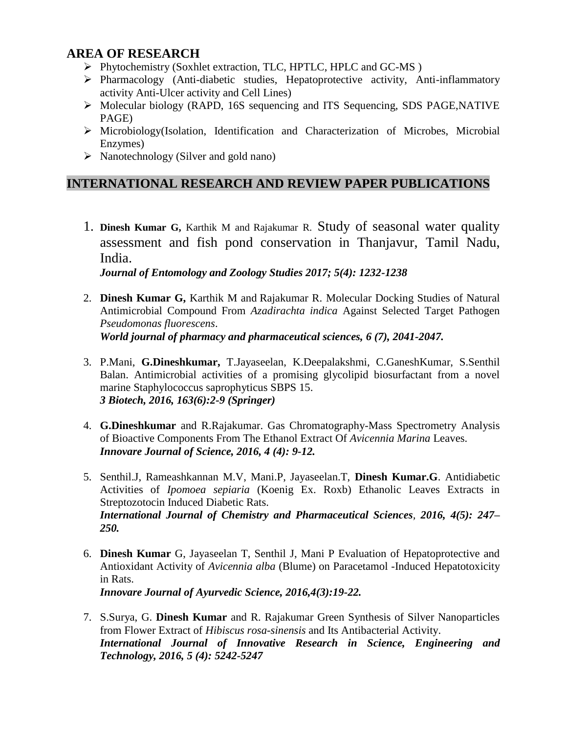## **AREA OF RESEARCH**

- Phytochemistry (Soxhlet extraction, TLC, HPTLC, HPLC and GC-MS )
- $\triangleright$  Pharmacology (Anti-diabetic studies, Hepatoprotective activity, Anti-inflammatory activity Anti-Ulcer activity and Cell Lines)
- Molecular biology (RAPD, 16S sequencing and ITS Sequencing, SDS PAGE,NATIVE PAGE)
- Microbiology(Isolation, Identification and Characterization of Microbes, Microbial Enzymes)
- $\triangleright$  Nanotechnology (Silver and gold nano)

## **INTERNATIONAL RESEARCH AND REVIEW PAPER PUBLICATIONS**

1. **Dinesh Kumar G,** Karthik M and Rajakumar R. Study of seasonal water quality assessment and fish pond conservation in Thanjavur, Tamil Nadu, India. *Journal of Entomology and Zoology Studies 2017; 5(4): 1232-1238*

2. **Dinesh Kumar G,** Karthik M and Rajakumar R. Molecular Docking Studies of Natural Antimicrobial Compound From *Azadirachta indica* Against Selected Target Pathogen *Pseudomonas fluorescens*.

*World journal of pharmacy and pharmaceutical sciences, 6 (7), 2041-2047.*

- 3. P.Mani, **G.Dineshkumar,** T.Jayaseelan, K.Deepalakshmi, C.GaneshKumar, S.Senthil Balan. Antimicrobial activities of a promising glycolipid biosurfactant from a novel marine Staphylococcus saprophyticus SBPS 15. *3 Biotech, 2016, 163(6):2-9 (Springer)*
- 4. **G.Dineshkumar** and R.Rajakumar. Gas Chromatography-Mass Spectrometry Analysis of Bioactive Components From The Ethanol Extract Of *Avicennia Marina* Leaves. *Innovare Journal of Science, 2016, 4 (4): 9-12.*
- 5. Senthil.J, Rameashkannan M.V, Mani.P, Jayaseelan.T, **Dinesh Kumar.G**. Antidiabetic Activities of *Ipomoea sepiaria* (Koenig Ex. Roxb) Ethanolic Leaves Extracts in Streptozotocin Induced Diabetic Rats. *International Journal of Chemistry and Pharmaceutical Sciences, 2016, 4(5): 247– 250.*
- 6. **Dinesh Kumar** G, Jayaseelan T, Senthil J, Mani P Evaluation of Hepatoprotective and Antioxidant Activity of *Avicennia alba* (Blume) on Paracetamol -Induced Hepatotoxicity in Rats. *Innovare Journal of Ayurvedic Science, 2016,4(3):19-22.*
- 7. S.Surya, G. **Dinesh Kumar** and R. Rajakumar Green Synthesis of Silver Nanoparticles from Flower Extract of *Hibiscus rosa-sinensis* and Its Antibacterial Activity. *International Journal of Innovative Research in Science, Engineering and Technology, 2016, 5 (4): 5242-5247*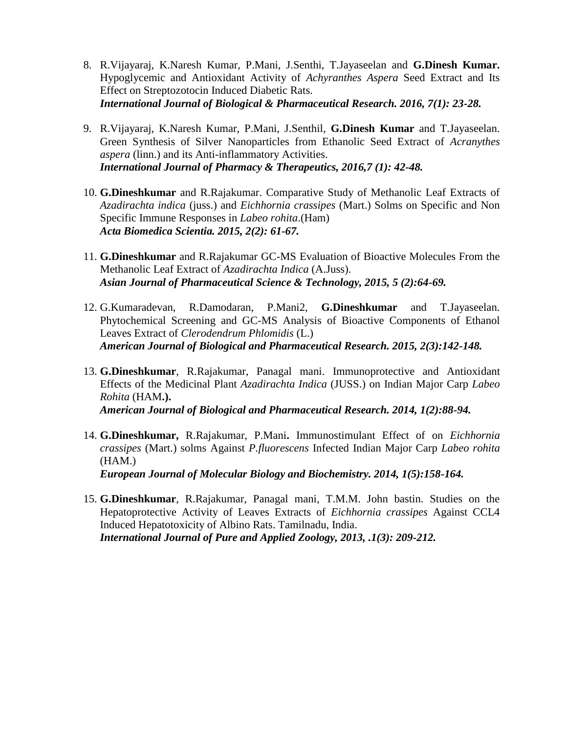- 8. R.Vijayaraj, K.Naresh Kumar, P.Mani, J.Senthi, T.Jayaseelan and **G.Dinesh Kumar.**  Hypoglycemic and Antioxidant Activity of *Achyranthes Aspera* Seed Extract and Its Effect on Streptozotocin Induced Diabetic Rats. *International Journal of Biological & Pharmaceutical Research. 2016, 7(1): 23-28.*
- 9. R.Vijayaraj, K.Naresh Kumar, P.Mani, J.Senthil, **G.Dinesh Kumar** and T.Jayaseelan. Green Synthesis of Silver Nanoparticles from Ethanolic Seed Extract of *Acranythes aspera* (linn.) and its Anti-inflammatory Activities. *International Journal of Pharmacy & Therapeutics, 2016,7 (1): 42-48.*
- 10. **G.Dineshkumar** and R.Rajakumar. Comparative Study of Methanolic Leaf Extracts of *Azadirachta indica* (juss.) and *Eichhornia crassipes* (Mart.) Solms on Specific and Non Specific Immune Responses in *Labeo rohita*.(Ham) *Acta Biomedica Scientia. 2015, 2(2): 61-67.*
- 11. **G.Dineshkumar** and R.Rajakumar GC-MS Evaluation of Bioactive Molecules From the Methanolic Leaf Extract of *Azadirachta Indica* (A.Juss). *Asian Journal of Pharmaceutical Science & Technology, 2015, 5 (2):64-69.*
- 12. G.Kumaradevan, R.Damodaran, P.Mani2, **G.Dineshkumar** and T.Jayaseelan. Phytochemical Screening and GC-MS Analysis of Bioactive Components of Ethanol Leaves Extract of *Clerodendrum Phlomidis* (L.) *American Journal of Biological and Pharmaceutical Research. 2015, 2(3):142-148.*
- 13. **G.Dineshkumar**, R.Rajakumar, Panagal mani. Immunoprotective and Antioxidant Effects of the Medicinal Plant *Azadirachta Indica* (JUSS.) on Indian Major Carp *Labeo Rohita* (HAM**.).** *American Journal of Biological and Pharmaceutical Research. 2014, 1(2):88-94.*
- 14. **G.Dineshkumar,** R.Rajakumar, P.Mani**.** Immunostimulant Effect of on *Eichhornia crassipes* (Mart.) solms Against *P.fluorescens* Infected Indian Major Carp *Labeo rohita*  (HAM.) *European Journal of Molecular Biology and Biochemistry. 2014, 1(5):158-164.*
- 15. **G.Dineshkumar**, R.Rajakumar, Panagal mani, T.M.M. John bastin. Studies on the Hepatoprotective Activity of Leaves Extracts of *Eichhornia crassipes* Against CCL4 Induced Hepatotoxicity of Albino Rats. Tamilnadu, India. *International Journal of Pure and Applied Zoology, 2013, .1(3): 209-212.*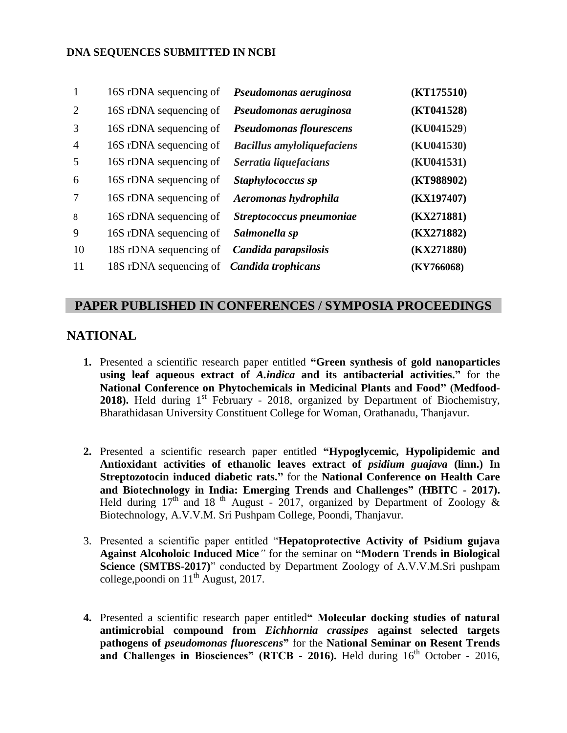#### **DNA SEQUENCES SUBMITTED IN NCBI**

| $\mathbf{1}$   | 16S rDNA sequencing of                    | Pseudomonas aeruginosa            | (KT175510) |
|----------------|-------------------------------------------|-----------------------------------|------------|
| 2              | 16S rDNA sequencing of                    | Pseudomonas aeruginosa            | (KT041528) |
| 3              | 16S rDNA sequencing of                    | <b>Pseudomonas flourescens</b>    | (KU041529) |
| $\overline{4}$ | 16S rDNA sequencing of                    | <b>Bacillus amyloliquefaciens</b> | (KU041530) |
| 5              | 16S rDNA sequencing of                    | Serratia liquefacians             | (KU041531) |
| 6              | 16S rDNA sequencing of                    | Staphylococcus sp                 | (KT988902) |
| 7              | 16S rDNA sequencing of                    | Aeromonas hydrophila              | (KX197407) |
| 8              | 16S rDNA sequencing of                    | Streptococcus pneumoniae          | (KX271881) |
| 9              | 16S rDNA sequencing of                    | Salmonella sp                     | (KX271882) |
| 10             | 18S rDNA sequencing of                    | Candida parapsilosis              | (KX271880) |
| 11             | 18S rDNA sequencing of Candida trophicans |                                   | (KY766068) |

#### **PAPER PUBLISHED IN CONFERENCES / SYMPOSIA PROCEEDINGS**

## **NATIONAL**

- **1.** Presented a scientific research paper entitled **"Green synthesis of gold nanoparticles using leaf aqueous extract of** *A.indica* **and its antibacterial activities."** for the **National Conference on Phytochemicals in Medicinal Plants and Food" (Medfood-**2018). Held during 1<sup>st</sup> February - 2018, organized by Department of Biochemistry, Bharathidasan University Constituent College for Woman, Orathanadu, Thanjavur.
- **2.** Presented a scientific research paper entitled **"Hypoglycemic, Hypolipidemic and Antioxidant activities of ethanolic leaves extract of** *psidium guajava* **(linn.) In Streptozotocin induced diabetic rats."** for the **National Conference on Health Care and Biotechnology in India: Emerging Trends and Challenges" (HBITC - 2017).**  Held during  $17<sup>th</sup>$  and 18<sup>th</sup> August - 2017, organized by Department of Zoology & Biotechnology, A.V.V.M. Sri Pushpam College, Poondi, Thanjavur.
- 3. Presented a scientific paper entitled "**Hepatoprotective Activity of Psidium gujava Against Alcoholoic Induced Mice***"* for the seminar on **"Modern Trends in Biological Science (SMTBS-2017)**" conducted by Department Zoology of A.V.V.M.Sri pushpam college, poondi on  $11<sup>th</sup>$  August, 2017.
- **4.** Presented a scientific research paper entitled**" Molecular docking studies of natural antimicrobial compound from** *Eichhornia crassipes* **against selected targets pathogens of** *pseudomonas fluorescens***"** for the **National Seminar on Resent Trends**  and Challenges in Biosciences" (RTCB - 2016). Held during 16<sup>th</sup> October - 2016,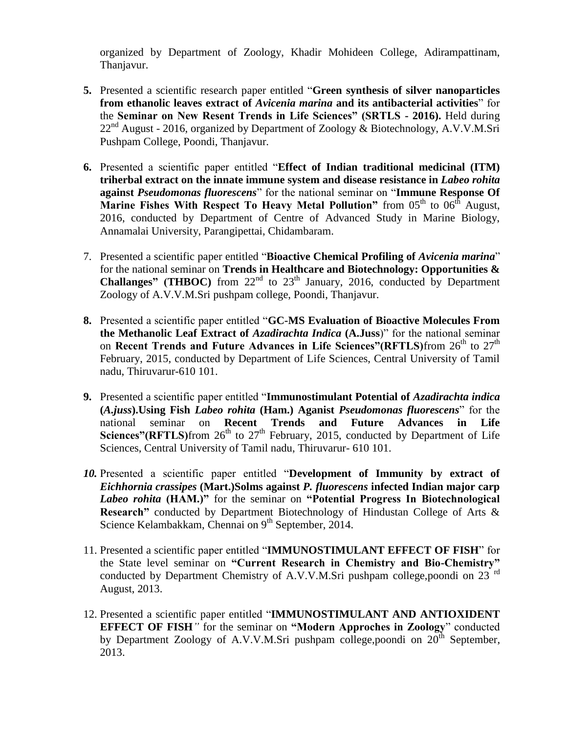organized by Department of Zoology, Khadir Mohideen College, Adirampattinam, Thanjavur.

- **5.** Presented a scientific research paper entitled "**Green synthesis of silver nanoparticles from ethanolic leaves extract of** *Avicenia marina* **and its antibacterial activities**" for the **Seminar on New Resent Trends in Life Sciences" (SRTLS - 2016).** Held during  $22<sup>nd</sup>$  August - 2016, organized by Department of Zoology & Biotechnology, A.V.V.M.Sri Pushpam College, Poondi, Thanjavur.
- **6.** Presented a scientific paper entitled "**Effect of Indian traditional medicinal (ITM) triherbal extract on the innate immune system and disease resistance in** *Labeo rohita* **against** *Pseudomonas fluorescens*" for the national seminar on "**Immune Response Of Marine Fishes With Respect To Heavy Metal Pollution**" from 05<sup>th</sup> to 06<sup>th</sup> August, 2016, conducted by Department of Centre of Advanced Study in Marine Biology, Annamalai University, Parangipettai, Chidambaram.
- 7. Presented a scientific paper entitled "**Bioactive Chemical Profiling of** *Avicenia marina*" for the national seminar on **Trends in Healthcare and Biotechnology: Opportunities & Challanges" (THBOC)** from 22<sup>nd</sup> to 23<sup>th</sup> January, 2016, conducted by Department Zoology of A.V.V.M.Sri pushpam college, Poondi, Thanjavur.
- **8.** Presented a scientific paper entitled "**GC-MS Evaluation of Bioactive Molecules From the Methanolic Leaf Extract of** *Azadirachta Indica* **(A.Juss**)" for the national seminar on **Recent Trends and Future Advances in Life Sciences"(RFTLS)**from 26<sup>th</sup> to 27<sup>th</sup> February, 2015, conducted by Department of Life Sciences, Central University of Tamil nadu, Thiruvarur-610 101.
- **9.** Presented a scientific paper entitled "**Immunostimulant Potential of** *Azadirachta indica*  **(***A.juss***).Using Fish** *Labeo rohita* **(Ham.) Aganist** *Pseudomonas fluorescens*" for the national seminar on **Recent Trends and Future Advances in Life Sciences"**(RFTLS)from  $26<sup>th</sup>$  to  $27<sup>th</sup>$  February, 2015, conducted by Department of Life Sciences, Central University of Tamil nadu, Thiruvarur- 610 101.
- *10.* Presented a scientific paper entitled "**Development of Immunity by extract of**  *Eichhornia crassipes* **(Mart.)Solms against** *P. fluorescens* **infected Indian major carp**  *Labeo rohita* **(HAM.)"** for the seminar on **"Potential Progress In Biotechnological Research"** conducted by Department Biotechnology of Hindustan College of Arts & Science Kelambakkam, Chennai on  $9<sup>th</sup>$  September, 2014.
- 11. Presented a scientific paper entitled "**IMMUNOSTIMULANT EFFECT OF FISH**" for the State level seminar on **"Current Research in Chemistry and Bio-Chemistry"**  conducted by Department Chemistry of A.V.V.M.Sri pushpam college, poondi on 23 $^{\text{rd}}$ August, 2013.
- 12. Presented a scientific paper entitled "**IMMUNOSTIMULANT AND ANTIOXIDENT EFFECT OF FISH***"* for the seminar on **"Modern Approches in Zoology**" conducted by Department Zoology of A.V.V.M.Sri pushpam college, poondi on  $20<sup>th</sup>$  September, 2013.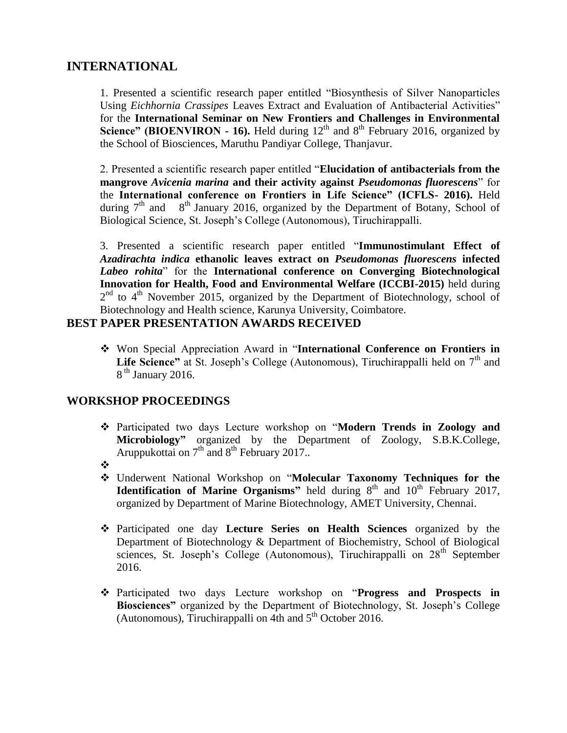## **INTERNATIONAL**

1. Presented a scientific research paper entitled "Biosynthesis of Silver Nanoparticles Using *Eichhornia Crassipes* Leaves Extract and Evaluation of Antibacterial Activities" for the **International Seminar on New Frontiers and Challenges in Environmental Science" (BIOENVIRON - 16).** Held during 12<sup>th</sup> and 8<sup>th</sup> February 2016, organized by the School of Biosciences, Maruthu Pandiyar College, Thanjavur.

2. Presented a scientific research paper entitled "**Elucidation of antibacterials from the mangrove** *Avicenia marina* **and their activity against** *Pseudomonas fluorescens*" for the **International conference on Frontiers in Life Science" (ICFLS- 2016).** Held during  $7<sup>th</sup>$  and  $8<sup>th</sup>$  January 2016, organized by the Department of Botany, School of Biological Science, St. Joseph's College (Autonomous), Tiruchirappalli.

3. Presented a scientific research paper entitled "**Immunostimulant Effect of** *Azadirachta indica* **ethanolic leaves extract on** *Pseudomonas fluorescens* **infected**  *Labeo rohita*" for the **International conference on Converging Biotechnological Innovation for Health, Food and Environmental Welfare (ICCBI-2015)** held during  $2<sup>nd</sup>$  to  $4<sup>th</sup>$  November 2015, organized by the Department of Biotechnology, school of Biotechnology and Health science, Karunya University, Coimbatore.

### **BEST PAPER PRESENTATION AWARDS RECEIVED**

 Won Special Appreciation Award in "**International Conference on Frontiers in**  Life Science" at St. Joseph's College (Autonomous), Tiruchirappalli held on 7<sup>th</sup> and 8<sup>th</sup> January 2016.

## **WORKSHOP PROCEEDINGS**

- Participated two days Lecture workshop on "**Modern Trends in Zoology and Microbiology"** organized by the Department of Zoology, S.B.K.College, Aruppukottai on  $7<sup>th</sup>$  and  $8<sup>th</sup>$  February 2017..
- $\frac{1}{2}$
- Underwent National Workshop on "**Molecular Taxonomy Techniques for the Identification of Marine Organisms"** held during  $8<sup>th</sup>$  and  $10<sup>th</sup>$  February 2017, organized by Department of Marine Biotechnology, AMET University, Chennai.
- Participated one day **Lecture Series on Health Sciences** organized by the Department of Biotechnology & Department of Biochemistry, School of Biological sciences, St. Joseph's College (Autonomous), Tiruchirappalli on 28<sup>th</sup> September 2016.
- Participated two days Lecture workshop on "**Progress and Prospects in Biosciences"** organized by the Department of Biotechnology, St. Joseph's College (Autonomous), Tiruchirappalli on 4th and  $5<sup>th</sup>$  October 2016.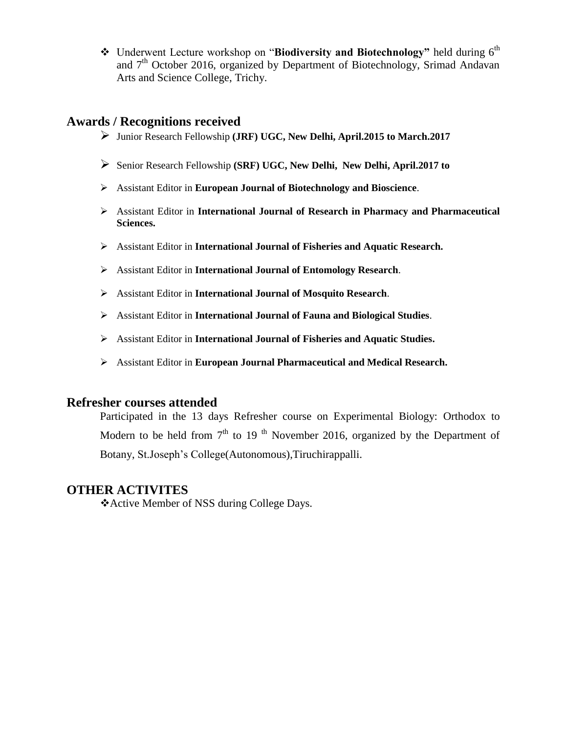\* Underwent Lecture workshop on "**Biodiversity and Biotechnology**" held during 6<sup>th</sup> and  $7<sup>th</sup>$  October 2016, organized by Department of Biotechnology, Srimad Andavan Arts and Science College, Trichy.

## **Awards / Recognitions received**

- Junior Research Fellowship **(JRF) UGC, New Delhi, April.2015 to March.2017**
- Senior Research Fellowship **(SRF) UGC, New Delhi, New Delhi, April.2017 to**
- Assistant Editor in **European Journal of Biotechnology and Bioscience**.
- Assistant Editor in **International Journal of Research in Pharmacy and Pharmaceutical Sciences.**
- Assistant Editor in **International Journal of Fisheries and Aquatic Research.**
- Assistant Editor in **International Journal of Entomology Research**.
- Assistant Editor in **International Journal of Mosquito Research**.
- Assistant Editor in **International Journal of Fauna and Biological Studies**.
- Assistant Editor in **International Journal of Fisheries and Aquatic Studies.**
- Assistant Editor in **European Journal Pharmaceutical and Medical Research.**

## **Refresher courses attended**

Participated in the 13 days Refresher course on Experimental Biology: Orthodox to Modern to be held from  $7<sup>th</sup>$  to 19<sup>th</sup> November 2016, organized by the Department of Botany, St.Joseph's College(Autonomous),Tiruchirappalli.

## **OTHER ACTIVITES**

Active Member of NSS during College Days.